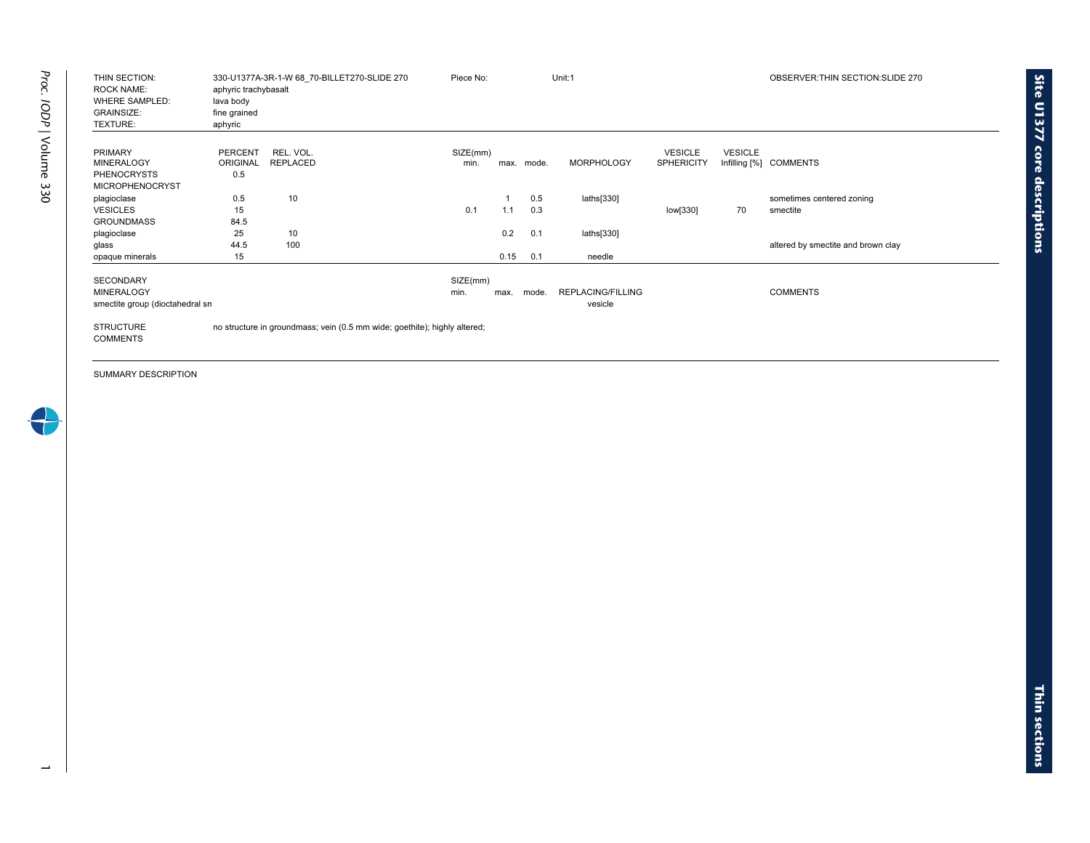| THIN SECTION:<br><b>ROCK NAME:</b><br><b>WHERE SAMPLED:</b><br><b>GRAINSIZE:</b><br>TEXTURE: | aphyric trachybasalt<br>lava body<br>fine grained<br>aphyric | 330-U1377A-3R-1-W 68 70-BILLET270-SLIDE 270                               | Piece No:        |             |            | Unit:1                              |                                     |                | OBSERVER: THIN SECTION: SLIDE 270     |
|----------------------------------------------------------------------------------------------|--------------------------------------------------------------|---------------------------------------------------------------------------|------------------|-------------|------------|-------------------------------------|-------------------------------------|----------------|---------------------------------------|
| <b>PRIMARY</b><br><b>MINERALOGY</b><br><b>PHENOCRYSTS</b>                                    | <b>PERCENT</b><br><b>ORIGINAL</b><br>0.5                     | REL. VOL.<br><b>REPLACED</b>                                              | SIZE(mm)<br>min. | max.        | mode.      | <b>MORPHOLOGY</b>                   | <b>VESICLE</b><br><b>SPHERICITY</b> | <b>VESICLE</b> | Infilling [%] COMMENTS                |
| <b>MICROPHENOCRYST</b><br>plagioclase<br><b>VESICLES</b><br><b>GROUNDMASS</b>                | 0.5<br>15<br>84.5                                            | 10                                                                        | 0.1              | 1.1         | 0.5<br>0.3 | laths[330]                          | low[330]                            | 70             | sometimes centered zoning<br>smectite |
| plagioclase<br>glass<br>opaque minerals                                                      | 25<br>44.5<br>15                                             | 10<br>100                                                                 |                  | 0.2<br>0.15 | 0.1<br>0.1 | laths[330]<br>needle                |                                     |                | altered by smectite and brown clay    |
| <b>SECONDARY</b><br><b>MINERALOGY</b><br>smectite group (dioctahedral sn                     |                                                              |                                                                           | SIZE(mm)<br>min. | max.        | mode.      | <b>REPLACING/FILLING</b><br>vesicle |                                     |                | <b>COMMENTS</b>                       |
| <b>STRUCTURE</b><br><b>COMMENTS</b>                                                          |                                                              | no structure in groundmass; vein (0.5 mm wide; goethite); highly altered; |                  |             |            |                                     |                                     |                |                                       |

**Site U1377 core**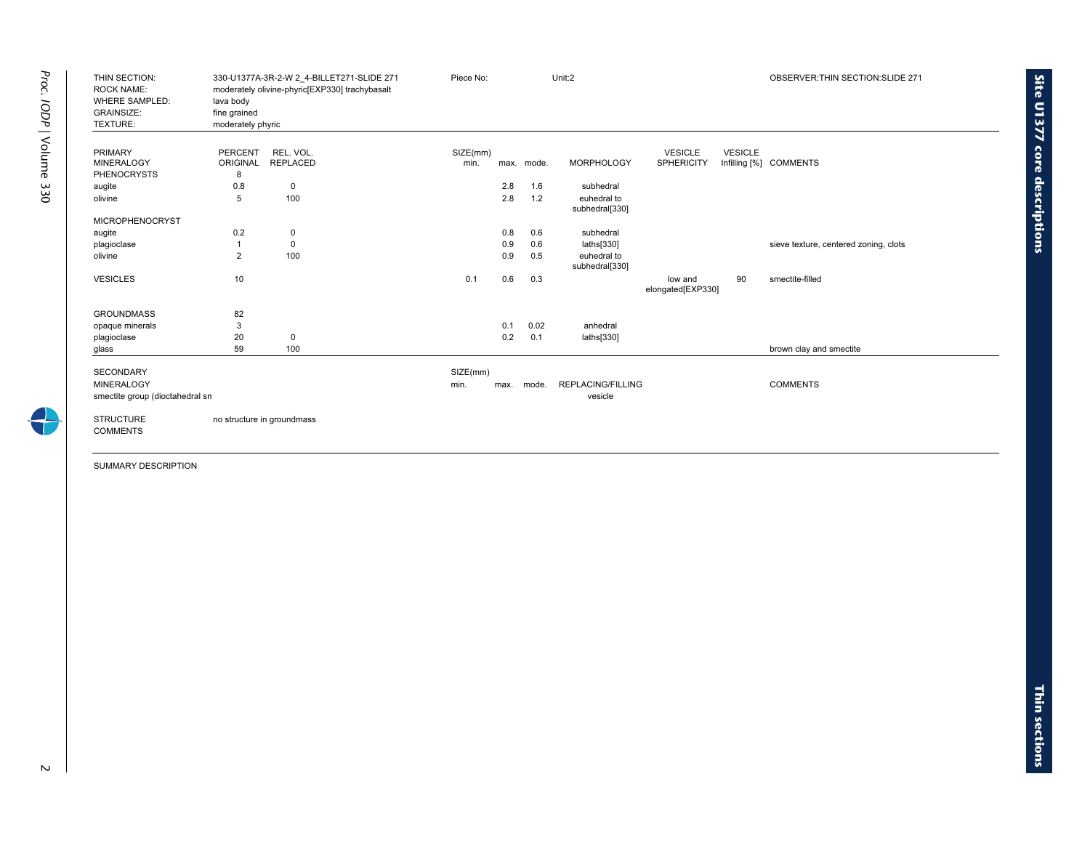| THIN SECTION:<br><b>ROCK NAME:</b><br><b>WHERE SAMPLED:</b><br><b>GRAINSIZE:</b><br>TEXTURE: | lava body<br>fine grained<br>moderately phyric | 330-U1377A-3R-2-W 2_4-BILLET271-SLIDE 271<br>moderately olivine-phyric[EXP330] trachybasalt | Piece No:        |      |            | Unit:2                        |                                     |                | OBSERVER: THIN SECTION: SLIDE 271     |
|----------------------------------------------------------------------------------------------|------------------------------------------------|---------------------------------------------------------------------------------------------|------------------|------|------------|-------------------------------|-------------------------------------|----------------|---------------------------------------|
| <b>PRIMARY</b><br><b>MINERALOGY</b><br><b>PHENOCRYSTS</b>                                    | <b>PERCENT</b><br>ORIGINAL<br>8                | REL. VOL.<br><b>REPLACED</b>                                                                | SIZE(mm)<br>min. |      | max. mode. | <b>MORPHOLOGY</b>             | <b>VESICLE</b><br><b>SPHERICITY</b> | <b>VESICLE</b> | Infilling [%] COMMENTS                |
| augite                                                                                       | 0.8                                            | $\mathbf 0$                                                                                 |                  | 2.8  | 1.6        | subhedral                     |                                     |                |                                       |
| olivine                                                                                      | 5                                              | 100                                                                                         |                  | 2.8  | 1.2        | euhedral to<br>subhedral[330] |                                     |                |                                       |
| <b>MICROPHENOCRYST</b>                                                                       |                                                |                                                                                             |                  |      |            |                               |                                     |                |                                       |
| augite                                                                                       | 0.2                                            | 0                                                                                           |                  | 0.8  | 0.6        | subhedral                     |                                     |                |                                       |
| plagioclase                                                                                  | -1                                             | $\mathbf 0$                                                                                 |                  | 0.9  | 0.6        | laths[330]                    |                                     |                | sieve texture, centered zoning, clots |
| olivine                                                                                      | $\overline{2}$                                 | 100                                                                                         |                  | 0.9  | 0.5        | euhedral to<br>subhedral[330] |                                     |                |                                       |
| <b>VESICLES</b>                                                                              | 10                                             |                                                                                             | 0.1              | 0.6  | 0.3        |                               | low and<br>elongated[EXP330]        | 90             | smectite-filled                       |
| <b>GROUNDMASS</b>                                                                            | 82                                             |                                                                                             |                  |      |            |                               |                                     |                |                                       |
| opaque minerals                                                                              | 3                                              |                                                                                             |                  | 0.1  | 0.02       | anhedral                      |                                     |                |                                       |
| plagioclase                                                                                  | 20                                             | 0                                                                                           |                  | 0.2  | 0.1        | laths[330]                    |                                     |                |                                       |
| glass                                                                                        | 59                                             | 100                                                                                         |                  |      |            |                               |                                     |                | brown clay and smectite               |
| <b>SECONDARY</b><br><b>MINERALOGY</b>                                                        |                                                |                                                                                             | SIZE(mm)<br>min. | max. | mode.      | <b>REPLACING/FILLING</b>      |                                     |                | <b>COMMENTS</b>                       |
| smectite group (dioctahedral sn<br><b>STRUCTURE</b><br><b>COMMENTS</b>                       | no structure in groundmass                     |                                                                                             |                  |      |            | vesicle                       |                                     |                |                                       |

÷

**Site U1377 core**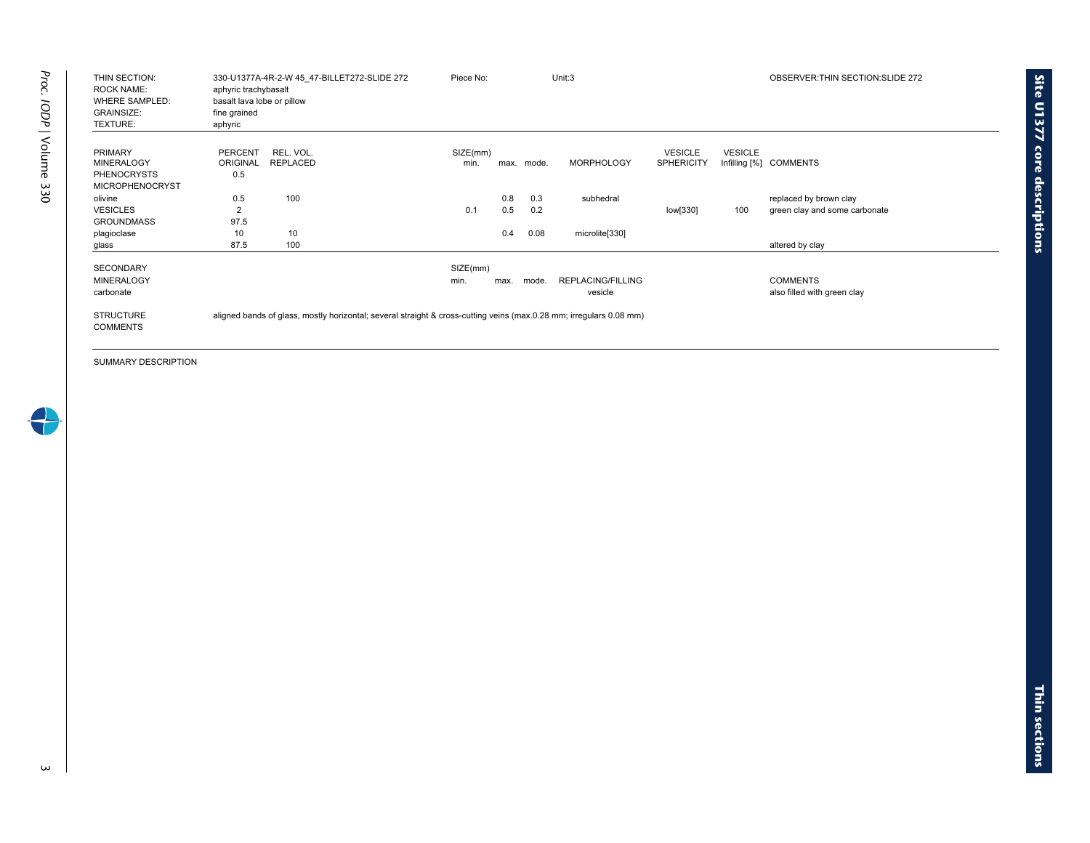| THIN SECTION:<br><b>ROCK NAME:</b><br><b>WHERE SAMPLED:</b><br><b>GRAINSIZE:</b><br>TEXTURE: | 330-U1377A-4R-2-W 45_47-BILLET272-SLIDE 272<br>aphyric trachybasalt<br>basalt lava lobe or pillow<br>fine grained<br>aphyric | Piece No:        |            |            | Unit:3                       |                                     |                | OBSERVER: THIN SECTION: SLIDE 272                       |
|----------------------------------------------------------------------------------------------|------------------------------------------------------------------------------------------------------------------------------|------------------|------------|------------|------------------------------|-------------------------------------|----------------|---------------------------------------------------------|
| <b>PRIMARY</b><br><b>MINERALOGY</b><br><b>PHENOCRYSTS</b><br><b>MICROPHENOCRYST</b>          | REL. VOL.<br><b>PERCENT</b><br><b>ORIGINAL</b><br><b>REPLACED</b><br>0.5                                                     | SIZE(mm)<br>min. |            | max. mode. | <b>MORPHOLOGY</b>            | <b>VESICLE</b><br><b>SPHERICITY</b> | <b>VESICLE</b> | Infilling [%] COMMENTS                                  |
| olivine<br><b>VESICLES</b><br><b>GROUNDMASS</b>                                              | 100<br>0.5<br>$\overline{2}$<br>97.5                                                                                         | 0.1              | 0.8<br>0.5 | 0.3<br>0.2 | subhedral                    | low[330]                            | 100            | replaced by brown clay<br>green clay and some carbonate |
| plagioclase<br>glass                                                                         | 10<br>10<br>87.5<br>100                                                                                                      |                  | 0.4        | 0.08       | microlite[330]               |                                     |                | altered by clay                                         |
| <b>SECONDARY</b><br><b>MINERALOGY</b><br>carbonate                                           |                                                                                                                              | SIZE(mm)<br>min. | max.       | mode.      | REPLACING/FILLING<br>vesicle |                                     |                | <b>COMMENTS</b><br>also filled with green clay          |
| <b>STRUCTURE</b><br><b>COMMENTS</b>                                                          | aligned bands of glass, mostly horizontal; several straight & cross-cutting veins (max.0.28 mm; irregulars 0.08 mm)          |                  |            |            |                              |                                     |                |                                                         |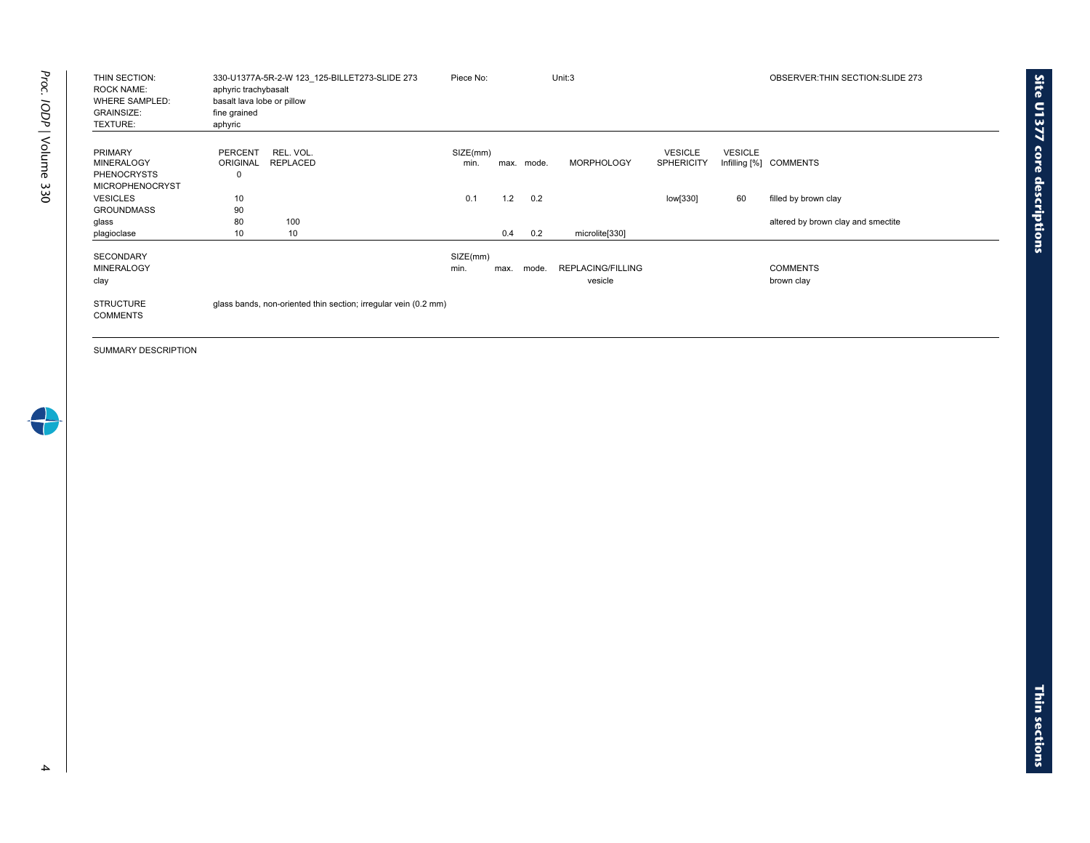| THIN SECTION:<br><b>ROCK NAME:</b><br><b>WHERE SAMPLED:</b><br><b>GRAINSIZE:</b><br>TEXTURE: | 330-U1377A-5R-2-W 123 125-BILLET273-SLIDE 273<br>aphyric trachybasalt<br>basalt lava lobe or pillow<br>fine grained<br>aphyric | Piece No:        |      |       | Unit:3                              |                                     |                                 | OBSERVER: THIN SECTION: SLIDE 273  |
|----------------------------------------------------------------------------------------------|--------------------------------------------------------------------------------------------------------------------------------|------------------|------|-------|-------------------------------------|-------------------------------------|---------------------------------|------------------------------------|
| <b>PRIMARY</b><br><b>MINERALOGY</b><br><b>PHENOCRYSTS</b><br><b>MICROPHENOCRYST</b>          | REL. VOL.<br><b>PERCENT</b><br><b>REPLACED</b><br><b>ORIGINAL</b><br>0                                                         | SIZE(mm)<br>min. | max. | mode. | <b>MORPHOLOGY</b>                   | <b>VESICLE</b><br><b>SPHERICITY</b> | <b>VESICLE</b><br>Infilling [%] | COMMENTS                           |
| <b>VESICLES</b>                                                                              | 10                                                                                                                             | 0.1              | 1.2  | 0.2   |                                     | low[330]                            | 60                              | filled by brown clay               |
| <b>GROUNDMASS</b>                                                                            | 90                                                                                                                             |                  |      |       |                                     |                                     |                                 |                                    |
| glass                                                                                        | 100<br>80                                                                                                                      |                  |      |       |                                     |                                     |                                 | altered by brown clay and smectite |
| plagioclase                                                                                  | 10<br>10                                                                                                                       |                  | 0.4  | 0.2   | microlite[330]                      |                                     |                                 |                                    |
| <b>SECONDARY</b><br><b>MINERALOGY</b><br>clay                                                |                                                                                                                                | SIZE(mm)<br>min. | max. | mode. | <b>REPLACING/FILLING</b><br>vesicle |                                     |                                 | <b>COMMENTS</b><br>brown clay      |
| <b>STRUCTURE</b><br><b>COMMENTS</b>                                                          | glass bands, non-oriented thin section; irregular vein (0.2 mm)                                                                |                  |      |       |                                     |                                     |                                 |                                    |

**Site U1377 core**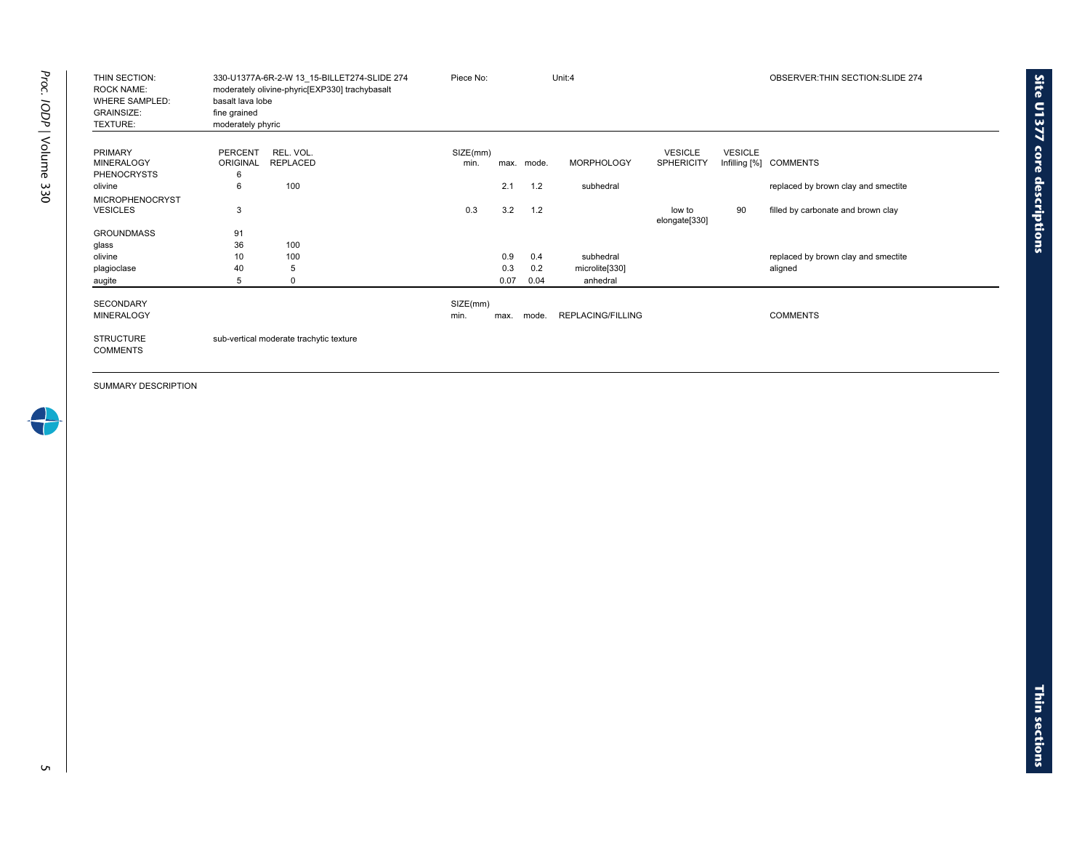| THIN SECTION:<br><b>ROCK NAME:</b><br><b>WHERE SAMPLED:</b><br><b>GRAINSIZE:</b><br>TEXTURE: | 330-U1377A-6R-2-W 13 15-BILLET274-SLIDE 274<br>moderately olivine-phyric[EXP330] trachybasalt<br>basalt lava lobe<br>fine grained<br>moderately phyric | Piece No: |      |            | Unit:4                   |                         |                | OBSERVER: THIN SECTION: SLIDE 274   |
|----------------------------------------------------------------------------------------------|--------------------------------------------------------------------------------------------------------------------------------------------------------|-----------|------|------------|--------------------------|-------------------------|----------------|-------------------------------------|
| <b>PRIMARY</b>                                                                               | REL. VOL.<br><b>PERCENT</b>                                                                                                                            | SIZE(mm)  |      |            |                          | <b>VESICLE</b>          | <b>VESICLE</b> |                                     |
| <b>MINERALOGY</b>                                                                            | ORIGINAL<br>REPLACED                                                                                                                                   | min.      |      | max. mode. | <b>MORPHOLOGY</b>        | <b>SPHERICITY</b>       |                | Infilling [%] COMMENTS              |
| <b>PHENOCRYSTS</b>                                                                           | 6                                                                                                                                                      |           |      |            |                          |                         |                |                                     |
| olivine                                                                                      | 100<br>6                                                                                                                                               |           | 2.1  | 1.2        | subhedral                |                         |                | replaced by brown clay and smectite |
| <b>MICROPHENOCRYST</b>                                                                       |                                                                                                                                                        |           |      |            |                          |                         |                |                                     |
| <b>VESICLES</b>                                                                              | 3                                                                                                                                                      | 0.3       | 3.2  | 1.2        |                          | low to<br>elongate[330] | 90             | filled by carbonate and brown clay  |
| <b>GROUNDMASS</b>                                                                            | 91                                                                                                                                                     |           |      |            |                          |                         |                |                                     |
| glass                                                                                        | 36<br>100                                                                                                                                              |           |      |            |                          |                         |                |                                     |
| olivine                                                                                      | 10<br>100                                                                                                                                              |           | 0.9  | 0.4        | subhedral                |                         |                | replaced by brown clay and smectite |
| plagioclase                                                                                  | 40<br>5                                                                                                                                                |           | 0.3  | 0.2        | microlite[330]           |                         |                | aligned                             |
| augite                                                                                       | 5<br>0                                                                                                                                                 |           | 0.07 | 0.04       | anhedral                 |                         |                |                                     |
| <b>SECONDARY</b>                                                                             |                                                                                                                                                        | SIZE(mm)  |      |            |                          |                         |                |                                     |
| <b>MINERALOGY</b>                                                                            |                                                                                                                                                        | min.      | max. | mode.      | <b>REPLACING/FILLING</b> |                         |                | <b>COMMENTS</b>                     |
| <b>STRUCTURE</b><br><b>COMMENTS</b>                                                          | sub-vertical moderate trachytic texture                                                                                                                |           |      |            |                          |                         |                |                                     |